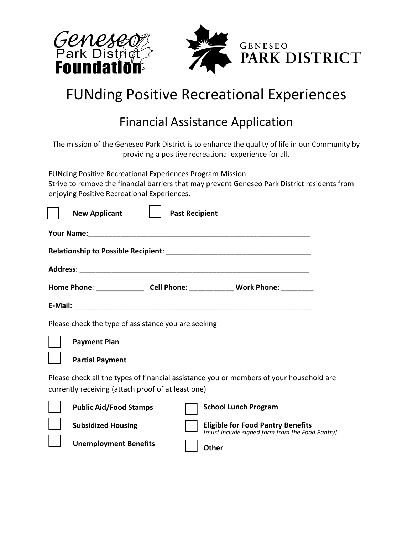

## FUNding Positive Recreational Experiences

## Financial Assistance Application

The mission of the Geneseo Park District is to enhance the quality of life in our Community by providing a positive recreational experience for all.

FUNding Positive Recreational Experiences Program Mission

Strive to remove the financial barriers that may prevent Geneseo Park District residents from enjoying Positive Recreational Experiences.

|  | <b>New Applicant</b>                                | <b>Past Recipient</b> |                                                                                             |  |  |  |  |  |  |  |                                                                                    |
|--|-----------------------------------------------------|-----------------------|---------------------------------------------------------------------------------------------|--|--|--|--|--|--|--|------------------------------------------------------------------------------------|
|  |                                                     |                       |                                                                                             |  |  |  |  |  |  |  |                                                                                    |
|  |                                                     |                       |                                                                                             |  |  |  |  |  |  |  | Home Phone: ___________________ Cell Phone: ________________ Work Phone: _________ |
|  |                                                     |                       |                                                                                             |  |  |  |  |  |  |  |                                                                                    |
|  | Please check the type of assistance you are seeking |                       |                                                                                             |  |  |  |  |  |  |  |                                                                                    |
|  | <b>Payment Plan</b>                                 |                       |                                                                                             |  |  |  |  |  |  |  |                                                                                    |
|  | <b>Partial Payment</b>                              |                       |                                                                                             |  |  |  |  |  |  |  |                                                                                    |
|  | currently receiving (attach proof of at least one)  |                       | Please check all the types of financial assistance you or members of your household are     |  |  |  |  |  |  |  |                                                                                    |
|  | <b>Public Aid/Food Stamps</b>                       |                       | <b>School Lunch Program</b>                                                                 |  |  |  |  |  |  |  |                                                                                    |
|  | <b>Subsidized Housing</b>                           |                       | <b>Eligible for Food Pantry Benefits</b><br>[must include signed form from the Food Pantry] |  |  |  |  |  |  |  |                                                                                    |
|  | <b>Unemployment Benefits</b>                        |                       | <b>ALL</b> -                                                                                |  |  |  |  |  |  |  |                                                                                    |

**Other**